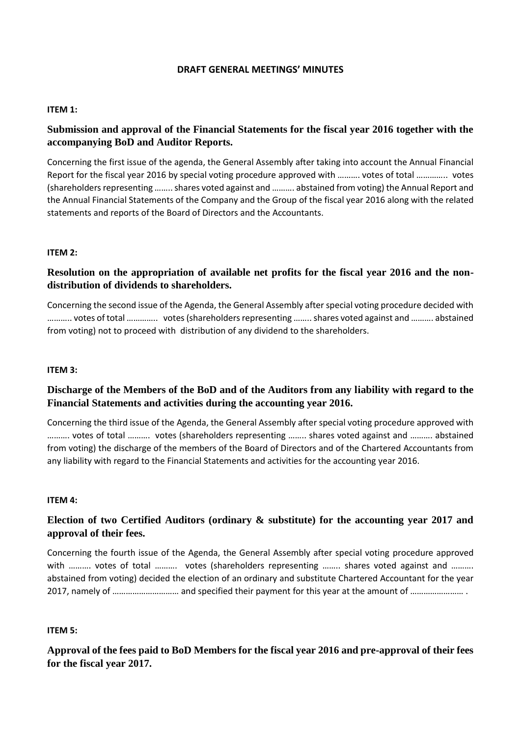### **DRAFT GENERAL MEETINGS' MINUTES**

### **ITEM 1:**

## **Submission and approval of the Financial Statements for the fiscal year 2016 together with the accompanying BoD and Auditor Reports.**

Concerning the first issue of the agenda, the General Assembly after taking into account the Annual Financial Report for the fiscal year 2016 by special voting procedure approved with ………. votes of total ………….. votes (shareholders representing …….. shares voted against and ………. abstained from voting) the Annual Report and the Annual Financial Statements of the Company and the Group οf the fiscal year 2016 along with the related statements and reports of the Board of Directors and the Accountants.

### **ITEM 2:**

# **Resolution on the appropriation of available net profits for the fiscal year 2016 and the nondistribution of dividends to shareholders.**

Concerning the second issue of the Agenda, the General Assembly after special voting procedure decided with ……….. votes of total ………….. votes (shareholders representing …….. shares voted against and ………. abstained from voting) not to proceed with distribution of any dividend to the shareholders.

#### **ITEM 3:**

## **Discharge of the Members of the BoD and of the Auditors from any liability with regard to the Financial Statements and activities during the accounting year 2016.**

Concerning the third issue of the Agenda, the General Assembly after special voting procedure approved with ………. votes of total ………. votes (shareholders representing …….. shares voted against and ………. abstained from voting) the discharge of the members of the Board of Directors and of the Chartered Accountants from any liability with regard to the Financial Statements and activities for the accounting year 2016.

#### **ITEM 4:**

# **Election of two Certified Auditors (ordinary & substitute) for the accounting year 2017 and approval of their fees.**

Concerning the fourth issue of the Agenda, the General Assembly after special voting procedure approved with ……….. votes of total ………. votes (shareholders representing …….. shares voted against and ………. abstained from voting) decided the election of an ordinary and substitute Chartered Accountant for the year 2017, namely of ………………………… and specified their payment for this year at the amount of …………………… .

#### **ITEM 5:**

# **Approval of the fees paid to BoD Members for the fiscal year 2016 and pre-approval of their fees for the fiscal year 2017.**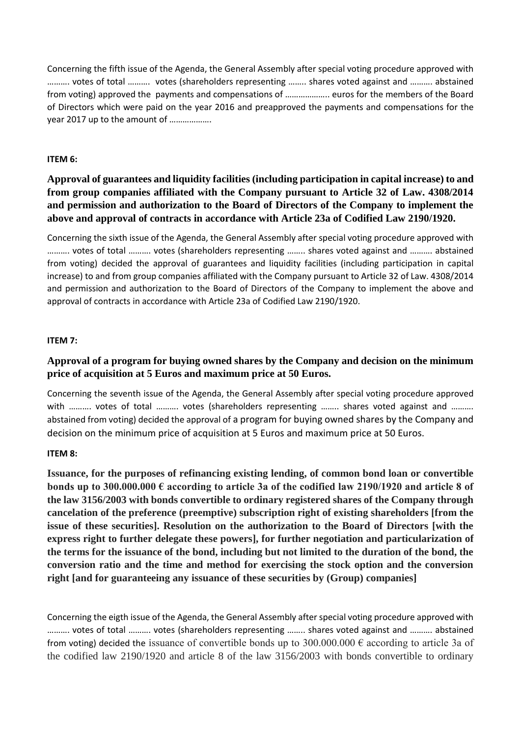Concerning the fifth issue of the Agenda, the General Assembly after special voting procedure approved with ………. votes of total ………. votes (shareholders representing …….. shares voted against and ………. abstained from voting) approved the payments and compensations of ……………….. euros for the members of the Board of Directors which were paid on the year 2016 and preapproved the payments and compensations for the year 2017 up to the amount of ……………….

### **ITEM 6:**

# **Approval of guarantees and liquidity facilities (including participation in capital increase) to and from group companies affiliated with the Company pursuant to Article 32 of Law. 4308/2014 and permission and authorization to the Board of Directors of the Company to implement the above and approval of contracts in accordance with Article 23a of Codified Law 2190/1920.**

Concerning the sixth issue of the Agenda, the General Assembly after special voting procedure approved with ………. votes of total ………. votes (shareholders representing …….. shares voted against and ………. abstained from voting) decided the approval of guarantees and liquidity facilities (including participation in capital increase) to and from group companies affiliated with the Company pursuant to Article 32 of Law. 4308/2014 and permission and authorization to the Board of Directors of the Company to implement the above and approval of contracts in accordance with Article 23a of Codified Law 2190/1920.

### **ITEM 7:**

# **Approval of a program for buying owned shares by the Company and decision on the minimum price of acquisition at 5 Euros and maximum price at 50 Euros.**

Concerning the seventh issue of the Agenda, the General Assembly after special voting procedure approved with .......... votes of total .......... votes (shareholders representing ........ shares voted against and .......... abstained from voting) decided the approval of a program for buying owned shares by the Company and decision on the minimum price of acquisition at 5 Euros and maximum price at 50 Euros.

### **ITEM 8:**

**Issuance, for the purposes of refinancing existing lending, of common bond loan or convertible bonds up to 300.000.000 € according to article 3a of the codified law 2190/1920 and article 8 of the law 3156/2003 with bonds convertible to ordinary registered shares of the Company through cancelation of the preference (preemptive) subscription right of existing shareholders [from the issue of these securities]. Resolution on the authorization to the Board of Directors [with the express right to further delegate these powers], for further negotiation and particularization of the terms for the issuance of the bond, including but not limited to the duration of the bond, the conversion ratio and the time and method for exercising the stock option and the conversion right [and for guaranteeing any issuance of these securities by (Group) companies]**

Concerning the eigth issue of the Agenda, the General Assembly after special voting procedure approved with ………. votes of total ………. votes (shareholders representing …….. shares voted against and ………. abstained from voting) decided the issuance of convertible bonds up to  $300.000.000 \in$  according to article 3a of the codified law 2190/1920 and article 8 of the law 3156/2003 with bonds convertible to ordinary